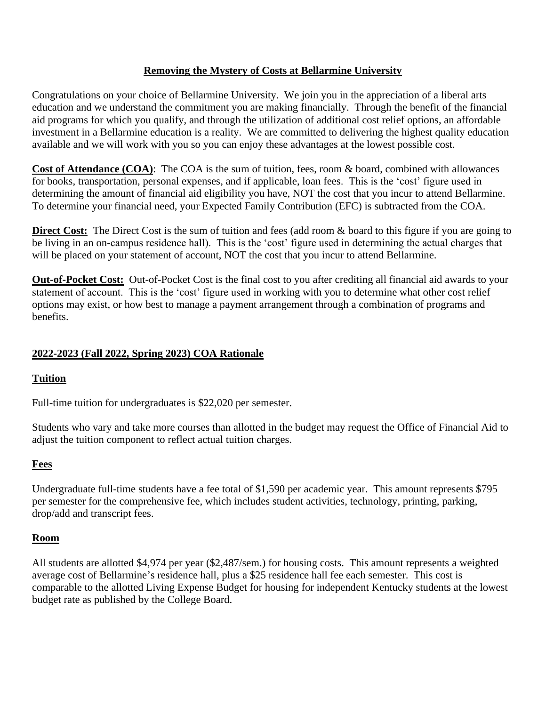### **Removing the Mystery of Costs at Bellarmine University**

Congratulations on your choice of Bellarmine University. We join you in the appreciation of a liberal arts education and we understand the commitment you are making financially. Through the benefit of the financial aid programs for which you qualify, and through the utilization of additional cost relief options, an affordable investment in a Bellarmine education is a reality. We are committed to delivering the highest quality education available and we will work with you so you can enjoy these advantages at the lowest possible cost.

**Cost of Attendance (COA)**: The COA is the sum of tuition, fees, room & board, combined with allowances for books, transportation, personal expenses, and if applicable, loan fees. This is the 'cost' figure used in determining the amount of financial aid eligibility you have, NOT the cost that you incur to attend Bellarmine. To determine your financial need, your Expected Family Contribution (EFC) is subtracted from the COA.

**Direct Cost:** The Direct Cost is the sum of tuition and fees (add room & board to this figure if you are going to be living in an on-campus residence hall). This is the 'cost' figure used in determining the actual charges that will be placed on your statement of account, NOT the cost that you incur to attend Bellarmine.

**Out-of-Pocket Cost:** Out-of-Pocket Cost is the final cost to you after crediting all financial aid awards to your statement of account. This is the 'cost' figure used in working with you to determine what other cost relief options may exist, or how best to manage a payment arrangement through a combination of programs and benefits.

# **2022-2023 (Fall 2022, Spring 2023) COA Rationale**

### **Tuition**

Full-time tuition for undergraduates is \$22,020 per semester.

Students who vary and take more courses than allotted in the budget may request the Office of Financial Aid to adjust the tuition component to reflect actual tuition charges.

### **Fees**

Undergraduate full-time students have a fee total of \$1,590 per academic year. This amount represents \$795 per semester for the comprehensive fee, which includes student activities, technology, printing, parking, drop/add and transcript fees.

#### **Room**

All students are allotted \$4,974 per year (\$2,487/sem.) for housing costs. This amount represents a weighted average cost of Bellarmine's residence hall, plus a \$25 residence hall fee each semester. This cost is comparable to the allotted Living Expense Budget for housing for independent Kentucky students at the lowest budget rate as published by the College Board.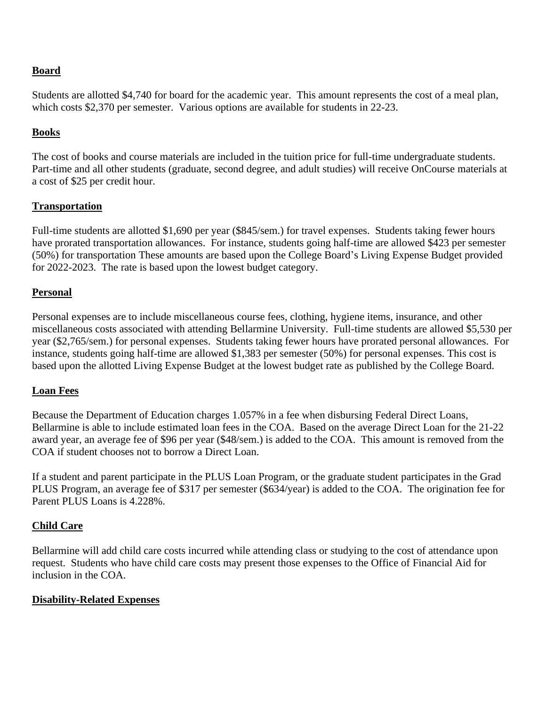# **Board**

Students are allotted \$4,740 for board for the academic year. This amount represents the cost of a meal plan, which costs \$2,370 per semester. Various options are available for students in 22-23.

# **Books**

The cost of books and course materials are included in the tuition price for full-time undergraduate students. Part-time and all other students (graduate, second degree, and adult studies) will receive OnCourse materials at a cost of \$25 per credit hour.

# **Transportation**

Full-time students are allotted \$1,690 per year (\$845/sem.) for travel expenses. Students taking fewer hours have prorated transportation allowances. For instance, students going half-time are allowed \$423 per semester (50%) for transportation These amounts are based upon the College Board's Living Expense Budget provided for 2022-2023. The rate is based upon the lowest budget category.

# **Personal**

Personal expenses are to include miscellaneous course fees, clothing, hygiene items, insurance, and other miscellaneous costs associated with attending Bellarmine University. Full-time students are allowed \$5,530 per year (\$2,765/sem.) for personal expenses. Students taking fewer hours have prorated personal allowances. For instance, students going half-time are allowed \$1,383 per semester (50%) for personal expenses. This cost is based upon the allotted Living Expense Budget at the lowest budget rate as published by the College Board.

### **Loan Fees**

Because the Department of Education charges 1.057% in a fee when disbursing Federal Direct Loans, Bellarmine is able to include estimated loan fees in the COA. Based on the average Direct Loan for the 21-22 award year, an average fee of \$96 per year (\$48/sem.) is added to the COA. This amount is removed from the COA if student chooses not to borrow a Direct Loan.

If a student and parent participate in the PLUS Loan Program, or the graduate student participates in the Grad PLUS Program, an average fee of \$317 per semester (\$634/year) is added to the COA. The origination fee for Parent PLUS Loans is 4.228%.

### **Child Care**

Bellarmine will add child care costs incurred while attending class or studying to the cost of attendance upon request. Students who have child care costs may present those expenses to the Office of Financial Aid for inclusion in the COA.

### **Disability-Related Expenses**